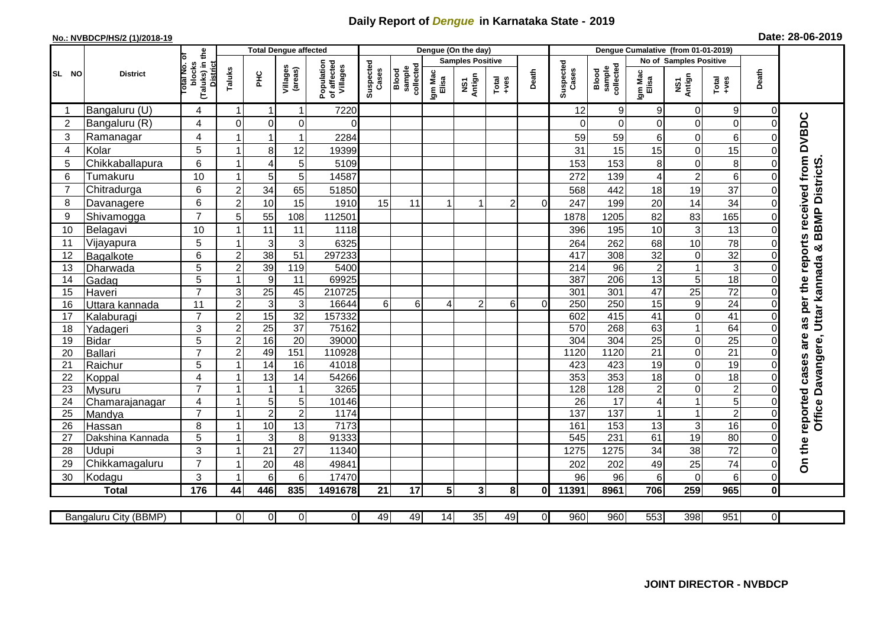## **Daily Report of** *Dengue* **in Karnataka State - 2019**

## **No.: NVBDCP/HS/2 (1)/2018-19 Date: 28-06-2019**

|                 |                        |                                                             | <b>Total Dengue affected</b> |                         |                     |                                       |                    |                              |                  | Dengue (On the day)     |                  |                |                    |                              |                  |                         |                     |                            |                                        |
|-----------------|------------------------|-------------------------------------------------------------|------------------------------|-------------------------|---------------------|---------------------------------------|--------------------|------------------------------|------------------|-------------------------|------------------|----------------|--------------------|------------------------------|------------------|-------------------------|---------------------|----------------------------|----------------------------------------|
|                 |                        |                                                             |                              |                         |                     |                                       |                    |                              |                  | <b>Samples Positive</b> |                  |                |                    |                              |                  | No of Samples Positive  |                     |                            |                                        |
| SL NO           | <b>District</b>        | (Taluks) in the<br>otal No. of<br>blocks<br><b>District</b> | Taluks                       | <b>PHC</b>              | Villages<br>(areas) | Population<br>of affected<br>Villages | Suspected<br>Cases | sample<br>collected<br>Blood | Igm Mac<br>Elisa | NS1<br>Antign           | $Tota$<br>$+ves$ | Death          | Suspected<br>Cases | collected<br>sample<br>Blood | Igm Mac<br>Elisa | NS1<br>Antign           | Total<br>$+ve$ s    | Death                      |                                        |
|                 | Bangaluru (U)          | 4                                                           | -1                           | -1                      | 1                   | 7220                                  |                    |                              |                  |                         |                  |                | 12                 | $\mathsf g$                  | 9                | 0                       | $9\,$               | 0                          |                                        |
| $\overline{2}$  | Bangaluru (R)          | 4                                                           | $\mathbf 0$                  | $\mathbf 0$             | $\mathbf 0$         | $\Omega$                              |                    |                              |                  |                         |                  |                | $\Omega$           | $\mathbf 0$                  | $\Omega$         | 0                       | $\mathsf{O}\xspace$ | $\mathbf 0$                |                                        |
| 3               | Ramanagar              | 4                                                           |                              |                         | 1                   | 2284                                  |                    |                              |                  |                         |                  |                | 59                 | 59                           | 6                | 0                       | $6\phantom{a}$      | $\mathcal{C}$              | as per the reports received from DVBDC |
| $\overline{4}$  | Kolar                  | 5                                                           |                              | 8                       | 12                  | 19399                                 |                    |                              |                  |                         |                  |                | 31                 | 15                           | 15               | $\mathbf 0$             | 15                  | $\Omega$                   |                                        |
| 5               | Chikkaballapura        | $6\phantom{1}$                                              | $\overline{1}$               | $\overline{4}$          | 5                   | 5109                                  |                    |                              |                  |                         |                  |                | 153                | 153                          | 8                | 0                       | 8                   | $\mathbf 0$                |                                        |
| 6               | Tumakuru               | 10                                                          |                              | 5                       | 5                   | 14587                                 |                    |                              |                  |                         |                  |                | 272                | 139                          | 4                | $\overline{\mathbf{c}}$ | 6                   | $\Omega$                   |                                        |
| 7               | Chitradurga            | $6\phantom{1}$                                              | $\overline{2}$               | 34                      | 65                  | 51850                                 |                    |                              |                  |                         |                  |                | 568                | 442                          | 18               | 19                      | 37                  | $\mathbf 0$                |                                        |
| 8               | Davanagere             | $6\phantom{1}$                                              | $\overline{2}$               | 10                      | 15                  | 1910                                  | 15                 | 11                           |                  |                         | $\overline{2}$   | $\Omega$       | 247                | 199                          | 20               | 14                      | $\overline{34}$     | $\Omega$                   |                                        |
| 9               | Shivamogga             | $\overline{7}$                                              | 5                            | 55                      | 108                 | 112501                                |                    |                              |                  |                         |                  |                | 1878               | 1205                         | 82               | 83                      | 165                 | $\Omega$                   | <b>BBMP DistrictS</b>                  |
| 10              | Belagavi               | 10                                                          |                              | 11                      | 11                  | 1118                                  |                    |                              |                  |                         |                  |                | 396                | 195                          | 10               | $\mathbf{3}$            | 13                  | $\Omega$                   |                                        |
| 11              | Vijayapura             | 5                                                           |                              | $\mathbf{3}$            | 3                   | 6325                                  |                    |                              |                  |                         |                  |                | 264                | 262                          | 68               | 10                      | 78                  | 0                          | න්                                     |
| 12              | Bagalkote              | $6\phantom{1}$                                              | $\overline{c}$               | 38                      | 51                  | 297233                                |                    |                              |                  |                         |                  |                | 417                | 308                          | $\overline{32}$  | $\boldsymbol{0}$        | 32                  | $\mathbf 0$                |                                        |
| 13              | Dharwada               | $\overline{5}$                                              | $\overline{2}$               | 39                      | 119                 | 5400                                  |                    |                              |                  |                         |                  |                | 214                | 96                           | $\mathbf 2$      | 1                       | $\overline{3}$      | $\overline{0}$             | Uttar kannada                          |
| 14              | Gadag                  | 5                                                           |                              | $9\,$                   | 11                  | 69925                                 |                    |                              |                  |                         |                  |                | 387                | 206                          | $\overline{13}$  | $\mathbf 5$             | 18                  | $\mathbf 0$                |                                        |
| 15              | Haveri                 | $\overline{7}$                                              | 3                            | $\overline{25}$         | 45                  | 210725                                |                    |                              |                  |                         |                  |                | 301                | 301                          | 47               | $\overline{25}$         | $\overline{72}$     | $\Omega$                   |                                        |
| 16              | Uttara kannada         | 11                                                          | $\overline{2}$               | $\mathsf 3$             | 3                   | 16644                                 | 6                  | $6 \mid$                     | Δ                | $\overline{2}$          | 6                | $\Omega$       | 250                | 250                          | $\overline{15}$  | 9                       | $\overline{24}$     | $\Omega$                   |                                        |
| 17              | Kalaburagi             | $\overline{7}$                                              | $\overline{2}$               | 15                      | $\overline{32}$     | 157332                                |                    |                              |                  |                         |                  |                | 602                | 415                          | 41               | 0                       | $\overline{41}$     | $\Omega$                   |                                        |
| 18              | Yadageri               | 3                                                           | $\overline{2}$               | $\overline{25}$         | $\overline{37}$     | 75162                                 |                    |                              |                  |                         |                  |                | 570                | 268                          | 63               | $\mathbf{1}$            | 64                  | $\Omega$                   |                                        |
| 19              | Bidar                  | 5                                                           | $\overline{2}$               | 16                      | $\overline{20}$     | 39000                                 |                    |                              |                  |                         |                  |                | 304                | 304                          | 25               | 0                       | $\overline{25}$     | $\mathbf 0$                |                                        |
| 20              | Ballari                | $\overline{7}$                                              | $\overline{2}$               | 49                      | 151                 | 110928                                |                    |                              |                  |                         |                  |                | 1120               | 1120                         | 21               | 0                       | 21                  | $\Omega$                   |                                        |
| 21              | Raichur                | 5                                                           |                              | 14                      | 16                  | 41018                                 |                    |                              |                  |                         |                  |                | 423                | 423                          | 19               | 0                       | 19                  | $\mathbf 0$                | Davangere,                             |
| 22              | Koppal                 | $\overline{\mathbf{4}}$                                     |                              | $\overline{13}$         | $\overline{14}$     | 54266                                 |                    |                              |                  |                         |                  |                | 353                | 353                          | 18               | $\overline{0}$          | 18                  | $\overline{0}$             |                                        |
| 23              | Mysuru                 | $\overline{7}$                                              |                              | $\overline{\mathbf{1}}$ | $\mathbf{1}$        | 3265                                  |                    |                              |                  |                         |                  |                | 128                | 128                          | $\overline{2}$   | 0                       | $\overline{2}$      | $\mathbf 0$                |                                        |
| 24              | Chamarajanagar         | $\overline{4}$<br>$\overline{7}$                            | $\overline{1}$               | 5                       | 5                   | 10146                                 |                    |                              |                  |                         |                  |                | 26                 | $\overline{17}$              | 4                | $\overline{1}$          | 5                   | $\mathbf 0$                |                                        |
| $\overline{25}$ | Mandya                 |                                                             |                              | $\overline{2}$          | $\overline{2}$      | 1174                                  |                    |                              |                  |                         |                  |                | 137                | 137                          |                  | 1                       | $\overline{2}$      | 0                          | <b>Office</b>                          |
| 26              | Hassan                 | 8<br>$\overline{5}$                                         | $\overline{\mathbf{1}}$      | 10<br>$\mathsf 3$       | 13<br>$\,8\,$       | 7173<br>91333                         |                    |                              |                  |                         |                  |                | 161<br>545         | 153<br>231                   | 13<br>61         | 3<br>19                 | 16<br>80            | $\mathbf 0$<br>$\mathbf 0$ |                                        |
| 27              | Dakshina Kannada       | 3                                                           |                              |                         |                     |                                       |                    |                              |                  |                         |                  |                |                    |                              |                  |                         | 72                  |                            |                                        |
| 28<br>29        | <b>Udupi</b>           | $\overline{7}$                                              |                              | 21                      | 27                  | 11340                                 |                    |                              |                  |                         |                  |                | 1275               | 1275                         | 34               | 38<br>25                | 74                  | $\Omega$<br>$\Omega$       | On the reported cases are              |
| 30              | Chikkamagaluru         | 3                                                           |                              | 20<br>6                 | 48<br>6             | 49841<br>17470                        |                    |                              |                  |                         |                  |                | 202<br>96          | 202<br>96                    | 49<br>6          | 0                       | 6                   | $\Omega$                   |                                        |
|                 | Kodagu<br><b>Total</b> | 176                                                         | 44                           | 446                     | 835                 | 1491678                               | 21                 | 17                           | 5                | 3 <sup>1</sup>          | 8 <sup>1</sup>   | Οl             | 11391              | 8961                         | 706              | 259                     | 965                 | $\mathbf 0$                |                                        |
|                 |                        |                                                             |                              |                         |                     |                                       |                    |                              |                  |                         |                  |                |                    |                              |                  |                         |                     |                            |                                        |
|                 | Bangaluru City (BBMP)  |                                                             | $\overline{0}$               | $\overline{0}$          | $\overline{0}$      | $\overline{O}$                        | 49                 | 49                           | 14               | 35                      | 49               | $\overline{O}$ | 960                | 960                          | $\overline{553}$ | 398                     | 951                 | $\overline{0}$             |                                        |